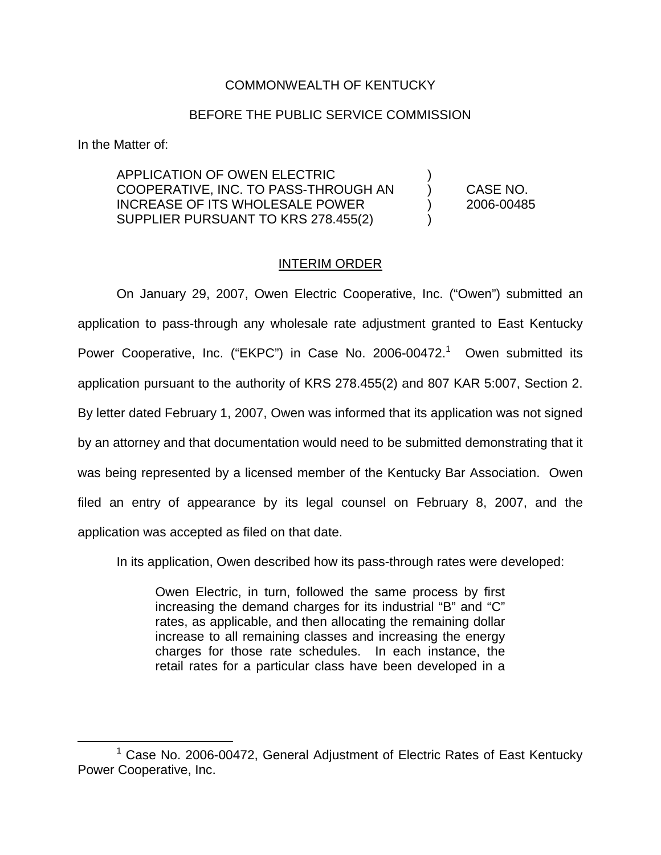## COMMONWEALTH OF KENTUCKY

## BEFORE THE PUBLIC SERVICE COMMISSION

In the Matter of:

APPLICATION OF OWEN ELECTRIC ) COOPERATIVE, INC. TO PASS-THROUGH AN ) CASE NO. INCREASE OF ITS WHOLESALE POWER ) 2006-00485 SUPPLIER PURSUANT TO KRS 278.455(2)

## INTERIM ORDER

On January 29, 2007, Owen Electric Cooperative, Inc. ("Owen") submitted an application to pass-through any wholesale rate adjustment granted to East Kentucky Power Cooperative, Inc. ("EKPC") in Case No. 2006-00472.<sup>1</sup> Owen submitted its application pursuant to the authority of KRS 278.455(2) and 807 KAR 5:007, Section 2. By letter dated February 1, 2007, Owen was informed that its application was not signed by an attorney and that documentation would need to be submitted demonstrating that it was being represented by a licensed member of the Kentucky Bar Association. Owen filed an entry of appearance by its legal counsel on February 8, 2007, and the application was accepted as filed on that date.

In its application, Owen described how its pass-through rates were developed:

Owen Electric, in turn, followed the same process by first increasing the demand charges for its industrial "B" and "C" rates, as applicable, and then allocating the remaining dollar increase to all remaining classes and increasing the energy charges for those rate schedules. In each instance, the retail rates for a particular class have been developed in a

 $1$  Case No. 2006-00472, General Adjustment of Electric Rates of East Kentucky Power Cooperative, Inc.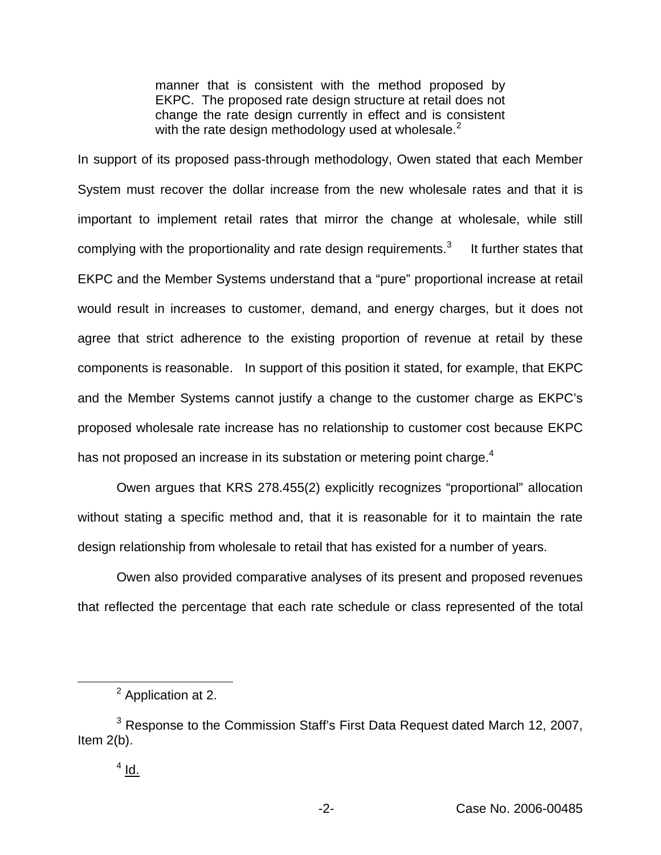manner that is consistent with the method proposed by EKPC. The proposed rate design structure at retail does not change the rate design currently in effect and is consistent with the rate design methodology used at wholesale. $<sup>2</sup>$ </sup>

In support of its proposed pass-through methodology, Owen stated that each Member System must recover the dollar increase from the new wholesale rates and that it is important to implement retail rates that mirror the change at wholesale, while still complying with the proportionality and rate design requirements. $3$  It further states that EKPC and the Member Systems understand that a "pure" proportional increase at retail would result in increases to customer, demand, and energy charges, but it does not agree that strict adherence to the existing proportion of revenue at retail by these components is reasonable. In support of this position it stated, for example, that EKPC and the Member Systems cannot justify a change to the customer charge as EKPC's proposed wholesale rate increase has no relationship to customer cost because EKPC has not proposed an increase in its substation or metering point charge.<sup>4</sup>

Owen argues that KRS 278.455(2) explicitly recognizes "proportional" allocation without stating a specific method and, that it is reasonable for it to maintain the rate design relationship from wholesale to retail that has existed for a number of years.

Owen also provided comparative analyses of its present and proposed revenues that reflected the percentage that each rate schedule or class represented of the total

<sup>2</sup> Application at 2.

<sup>&</sup>lt;sup>3</sup> Response to the Commission Staff's First Data Request dated March 12, 2007, Item 2(b).

 $4$  Id.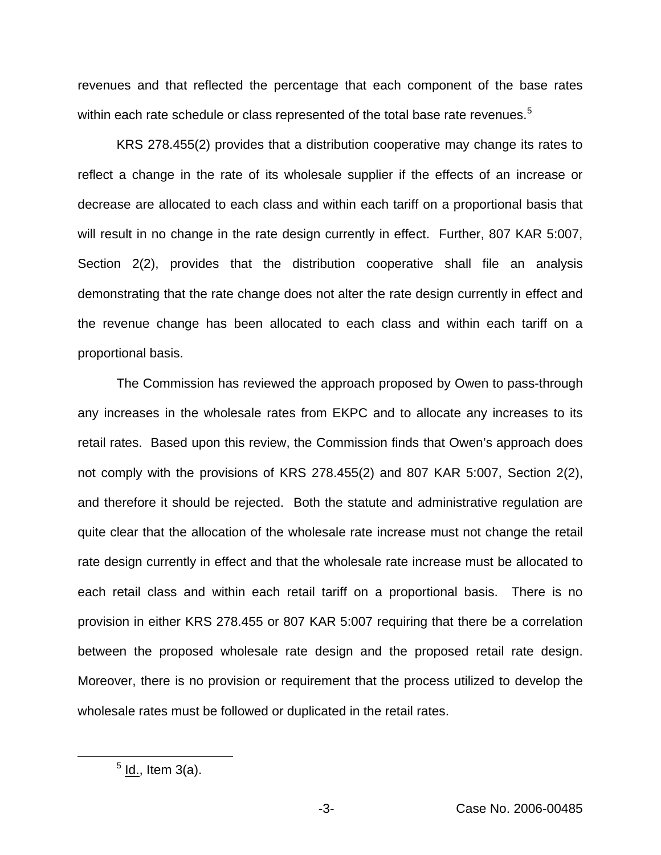revenues and that reflected the percentage that each component of the base rates within each rate schedule or class represented of the total base rate revenues.<sup>5</sup>

KRS 278.455(2) provides that a distribution cooperative may change its rates to reflect a change in the rate of its wholesale supplier if the effects of an increase or decrease are allocated to each class and within each tariff on a proportional basis that will result in no change in the rate design currently in effect. Further, 807 KAR 5:007, Section 2(2), provides that the distribution cooperative shall file an analysis demonstrating that the rate change does not alter the rate design currently in effect and the revenue change has been allocated to each class and within each tariff on a proportional basis.

The Commission has reviewed the approach proposed by Owen to pass-through any increases in the wholesale rates from EKPC and to allocate any increases to its retail rates. Based upon this review, the Commission finds that Owen's approach does not comply with the provisions of KRS 278.455(2) and 807 KAR 5:007, Section 2(2), and therefore it should be rejected. Both the statute and administrative regulation are quite clear that the allocation of the wholesale rate increase must not change the retail rate design currently in effect and that the wholesale rate increase must be allocated to each retail class and within each retail tariff on a proportional basis. There is no provision in either KRS 278.455 or 807 KAR 5:007 requiring that there be a correlation between the proposed wholesale rate design and the proposed retail rate design. Moreover, there is no provision or requirement that the process utilized to develop the wholesale rates must be followed or duplicated in the retail rates.

 $<sup>5</sup>$  ld., Item 3(a).</sup>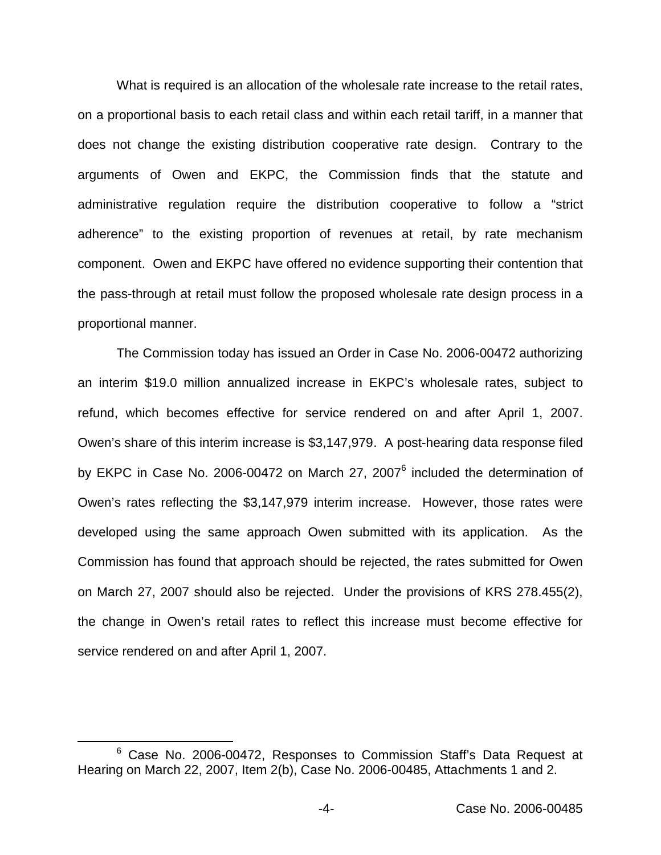What is required is an allocation of the wholesale rate increase to the retail rates, on a proportional basis to each retail class and within each retail tariff, in a manner that does not change the existing distribution cooperative rate design. Contrary to the arguments of Owen and EKPC, the Commission finds that the statute and administrative regulation require the distribution cooperative to follow a "strict adherence" to the existing proportion of revenues at retail, by rate mechanism component. Owen and EKPC have offered no evidence supporting their contention that the pass-through at retail must follow the proposed wholesale rate design process in a proportional manner.

The Commission today has issued an Order in Case No. 2006-00472 authorizing an interim \$19.0 million annualized increase in EKPC's wholesale rates, subject to refund, which becomes effective for service rendered on and after April 1, 2007. Owen's share of this interim increase is \$3,147,979. A post-hearing data response filed by EKPC in Case No. 2006-00472 on March 27, 2007<sup>6</sup> included the determination of Owen's rates reflecting the \$3,147,979 interim increase. However, those rates were developed using the same approach Owen submitted with its application. As the Commission has found that approach should be rejected, the rates submitted for Owen on March 27, 2007 should also be rejected. Under the provisions of KRS 278.455(2), the change in Owen's retail rates to reflect this increase must become effective for service rendered on and after April 1, 2007.

<sup>&</sup>lt;sup>6</sup> Case No. 2006-00472, Responses to Commission Staff's Data Request at Hearing on March 22, 2007, Item 2(b), Case No. 2006-00485, Attachments 1 and 2.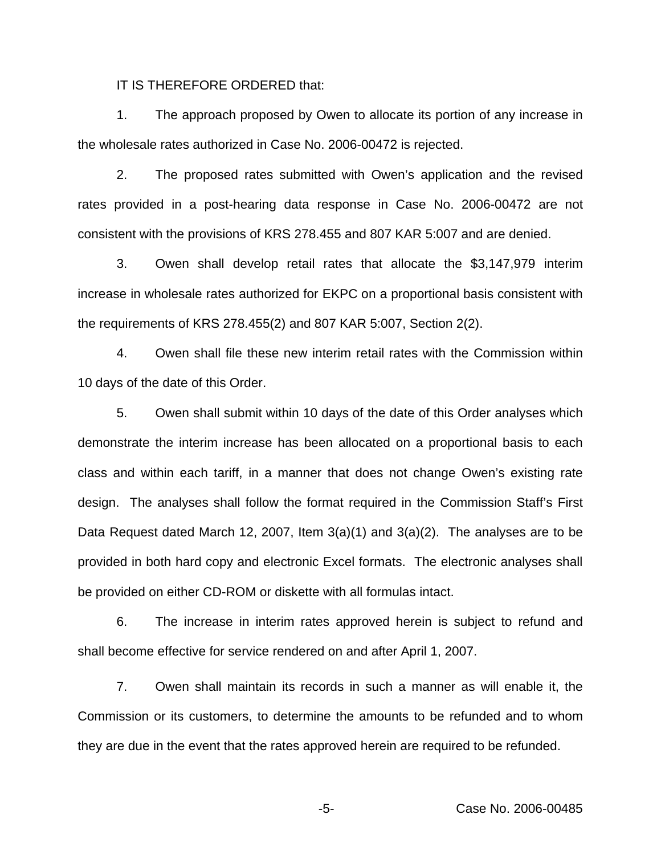IT IS THEREFORE ORDERED that:

1. The approach proposed by Owen to allocate its portion of any increase in the wholesale rates authorized in Case No. 2006-00472 is rejected.

2. The proposed rates submitted with Owen's application and the revised rates provided in a post-hearing data response in Case No. 2006-00472 are not consistent with the provisions of KRS 278.455 and 807 KAR 5:007 and are denied.

3. Owen shall develop retail rates that allocate the \$3,147,979 interim increase in wholesale rates authorized for EKPC on a proportional basis consistent with the requirements of KRS 278.455(2) and 807 KAR 5:007, Section 2(2).

4. Owen shall file these new interim retail rates with the Commission within 10 days of the date of this Order.

5. Owen shall submit within 10 days of the date of this Order analyses which demonstrate the interim increase has been allocated on a proportional basis to each class and within each tariff, in a manner that does not change Owen's existing rate design. The analyses shall follow the format required in the Commission Staff's First Data Request dated March 12, 2007, Item  $3(a)(1)$  and  $3(a)(2)$ . The analyses are to be provided in both hard copy and electronic Excel formats. The electronic analyses shall be provided on either CD-ROM or diskette with all formulas intact.

6. The increase in interim rates approved herein is subject to refund and shall become effective for service rendered on and after April 1, 2007.

7. Owen shall maintain its records in such a manner as will enable it, the Commission or its customers, to determine the amounts to be refunded and to whom they are due in the event that the rates approved herein are required to be refunded.

-5- Case No. 2006-00485